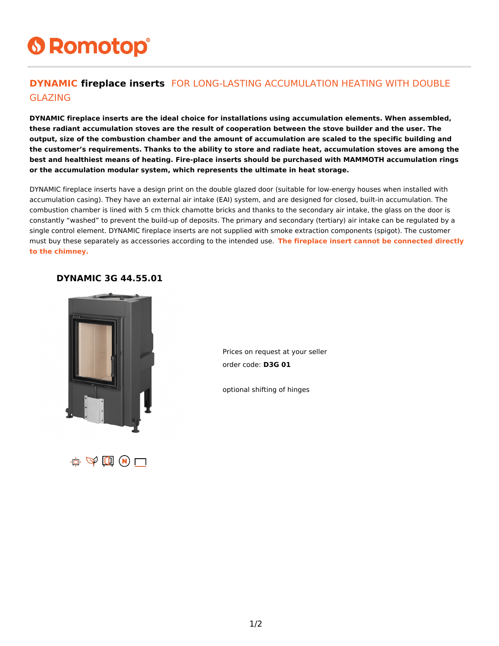# **6 Romotop®**

#### **DYNAMIC fireplace inserts** FOR LONG-LASTING ACCUMULATION HEATING WITH DOUBLE GLAZING

**DYNAMIC fireplace inserts are the ideal choice for installations using accumulation elements. When assembled, these radiant accumulation stoves are the result of cooperation between the stove builder and the user. The output, size of the combustion chamber and the amount of accumulation are scaled to the specific building and the customer's requirements. Thanks to the ability to store and radiate heat, accumulation stoves are among the best and healthiest means of heating. Fire-place inserts should be purchased with MAMMOTH accumulation rings or the accumulation modular system, which represents the ultimate in heat storage.**

DYNAMIC fireplace inserts have a design print on the double glazed door (suitable for low-energy houses when installed with accumulation casing). They have an external air intake (EAI) system, and are designed for closed, built-in accumulation. The combustion chamber is lined with 5 cm thick chamotte bricks and thanks to the secondary air intake, the glass on the door is constantly "washed" to prevent the build-up of deposits. The primary and secondary (tertiary) air intake can be regulated by a single control element. DYNAMIC fireplace inserts are not supplied with smoke extraction components (spigot). The customer must buy these separately as accessories according to the intended use. **The fireplace insert cannot be connected directly to the chimney.**

#### **DYNAMIC 3G 44.55.01**



Prices on request at your seller order code: **D3G 01**

optional shifting of hinges

 $\mathbf{r}$   $\Phi$   $\mathbf{r}$   $\mathbf{r}$   $\mathbf{r}$   $\mathbf{r}$